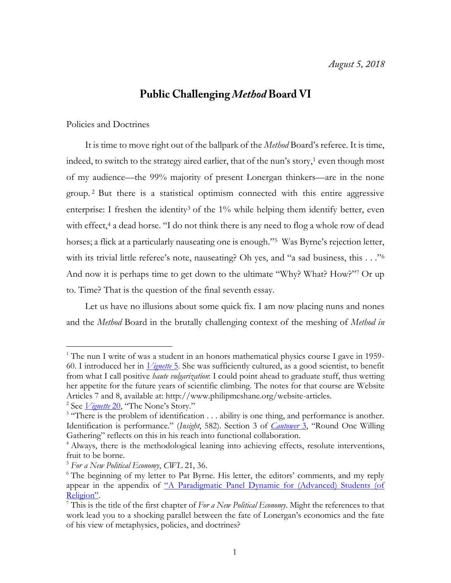## **Public Challenging Method Board VI**

## Policies and Doctrines

It is time to move right out of the ballpark of the *Method* Board's referee. It is time, indeed, to switch to the strategy aired earlier, that of the nun's story, $\frac{1}{1}$  even though most of my audience—the 99% majority of present Lonergan thinkers—are in the none group. <sup>2</sup> But there is a statistical optimism connected with this entire aggressive enterprise: I freshen the identity<sup>3</sup> of the  $1\%$  while helping them identify better, even with effect,<sup>4</sup> a dead horse. "I do not think there is any need to flog a whole row of dead horses; a flick at a particularly nauseating one is enough."<sup>5</sup> Was Byrne's rejection letter, with its trivial little referee's note, nauseating? Oh yes, and "a sad business, this . . ." 6 And now it is perhaps time to get down to the ultimate "Why? What? How?"<sup>7</sup> Or up to. Time? That is the question of the final seventh essay.

Let us have no illusions about some quick fix. I am now placing nuns and nones and the *Method* Board in the brutally challenging context of the meshing of *Method in* 

<sup>&</sup>lt;sup>1</sup> The nun I write of was a student in an honors mathematical physics course I gave in 1959-60. I introduced her in *[Vignette](http://www.philipmcshane.org/wp-content/themes/philip/online_publications/series/vignettes/Vignette%205.pdf)* 5. She was sufficiently cultured, as a good scientist, to benefit from what I call positive *haute vulgarization*: I could point ahead to graduate stuff, thus wetting her appetite for the future years of scientific climbing. The notes for that course are Website Articles 7 and 8, available at: http://www.philipmcshane.org/website-articles.

<sup>&</sup>lt;sup>2</sup> See *<u>[Vignette](http://www.philipmcshane.org/website-articles/) 20</u>*, "The None's Story."

<sup>&</sup>lt;sup>3</sup> "There is the problem of identification . . . ability is one thing, and performance is another. Identification is performance." (*Insight*, 582). Section 3 of *[Cantower](http://www.philipmcshane.org/wp-content/themes/philip/online_publications/series/cantowers/cantower3.pdf)* 3, "Round One Willing Gathering" reflects on this in his reach into functional collaboration.

<sup>&</sup>lt;sup>4</sup> Always, there is the methodological leaning into achieving effects, resolute interventions, fruit to be borne.

<sup>5</sup> *For a New Political Economy*, *CWL* 21, 36.

<sup>&</sup>lt;sup>6</sup> The beginning of my letter to Pat Byrne. His letter, the editors' comments, and my reply appear in the appendix of "A Paradigmatic Panel Dynamic for (Advanced) Students (of [Religion"](http://www.philipmcshane.org/wp-content/themes/philip/online_publications/articles/A%20Paradigmatic%20Panel_final%20with%20appendix.pdf).

<sup>7</sup> This is the title of the first chapter of *For a New Political Economy*. Might the references to that work lead you to a shocking parallel between the fate of Lonergan's economics and the fate of his view of metaphysics, policies, and doctrines?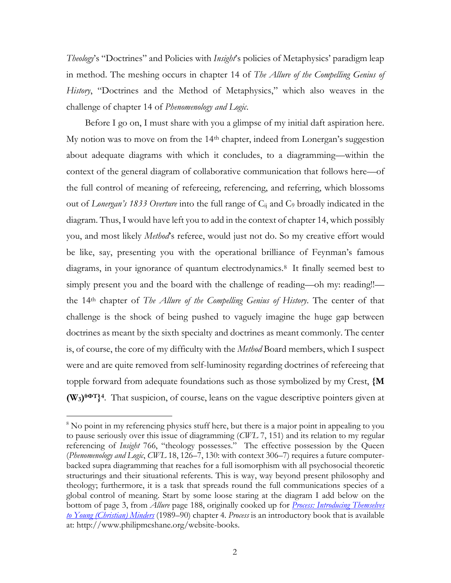*Theology*'s "Doctrines" and Policies with *Insight*'s policies of Metaphysics' paradigm leap in method. The meshing occurs in chapter 14 of *The Allure of the Compelling Genius of History*, "Doctrines and the Method of Metaphysics," which also weaves in the challenge of chapter 14 of *Phenomenology and Logic*.

Before I go on, I must share with you a glimpse of my initial daft aspiration here. My notion was to move on from the 14th chapter, indeed from Lonergan's suggestion about adequate diagrams with which it concludes, to a diagramming—within the context of the general diagram of collaborative communication that follows here—of the full control of meaning of refereeing, referencing, and referring, which blossoms out of *Lonergan's 1833 Overture* into the full range of Cij and C<sup>9</sup> broadly indicated in the diagram. Thus, I would have left you to add in the context of chapter 14, which possibly you, and most likely *Method*'s referee, would just not do. So my creative effort would be like, say, presenting you with the operational brilliance of Feynman's famous diagrams, in your ignorance of quantum electrodynamics.<sup>8</sup> It finally seemed best to simply present you and the board with the challenge of reading—oh my: reading!! the 14th chapter of *The Allure of the Compelling Genius of History*. The center of that challenge is the shock of being pushed to vaguely imagine the huge gap between doctrines as meant by the sixth specialty and doctrines as meant commonly. The center is, of course, the core of my difficulty with the *Method* Board members, which I suspect were and are quite removed from self-luminosity regarding doctrines of refereeing that topple forward from adequate foundations such as those symbolized by my Crest, **{M (W3) θΦT} 4** . That suspicion, of course, leans on the vague descriptive pointers given at

<sup>&</sup>lt;sup>8</sup> No point in my referencing physics stuff here, but there is a major point in appealing to you to pause seriously over this issue of diagramming (*CWL* 7, 151) and its relation to my regular referencing of *Insight* 766, "theology possesses." The effective possession by the Queen (*Phenomenology and Logic*, *CWL* 18, 126–7, 130: with context 306–7) requires a future computerbacked supra diagramming that reaches for a full isomorphism with all psychosocial theoretic structurings and their situational referents. This is way, way beyond present philosophy and theology; furthermore, it is a task that spreads round the full communications species of a global control of meaning. Start by some loose staring at the diagram I add below on the bottom of page 3, from *Allure* page 188, originally cooked up for *[Process: Introducing Themselves](http://www.philipmcshane.org/wp-content/themes/philip/online_publications/books/process.pdf)  [to Young \(Christian\) Minders](http://www.philipmcshane.org/wp-content/themes/philip/online_publications/books/process.pdf)* (1989–90) chapter 4. *Process* is an introductory book that is available at: http://www.philipmcshane.org/website-books.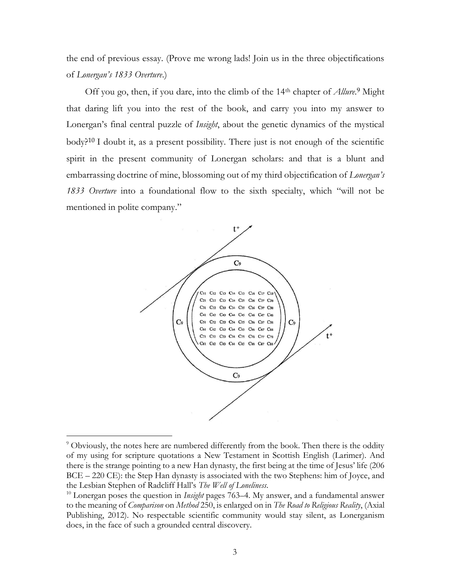the end of previous essay. (Prove me wrong lads! Join us in the three objectifications of *Lonergan's 1833 Overture*.)

Off you go, then, if you dare, into the climb of the 14<sup>th</sup> chapter of *Allure*.<sup>9</sup> Might that daring lift you into the rest of the book, and carry you into my answer to Lonergan's final central puzzle of *Insight*, about the genetic dynamics of the mystical body?<sup>10</sup> I doubt it, as a present possibility. There just is not enough of the scientific spirit in the present community of Lonergan scholars: and that is a blunt and embarrassing doctrine of mine, blossoming out of my third objectification of *Lonergan's 1833 Overture* into a foundational flow to the sixth specialty, which "will not be mentioned in polite company."



 $9$  Obviously, the notes here are numbered differently from the book. Then there is the oddity of my using for scripture quotations a New Testament in Scottish English (Larimer). And there is the strange pointing to a new Han dynasty, the first being at the time of Jesus' life (206 BCE – 220 CE): the Step Han dynasty is associated with the two Stephens: him of Joyce, and the Lesbian Stephen of Radcliff Hall's *The Well of Loneliness*.

<sup>&</sup>lt;sup>10</sup> Lonergan poses the question in *Insight* pages 763–4. My answer, and a fundamental answer to the meaning of *Comparison* on *Method* 250, is enlarged on in *The Road to Religious Reality*, (Axial Publishing, 2012). No respectable scientific community would stay silent, as Lonerganism does, in the face of such a grounded central discovery.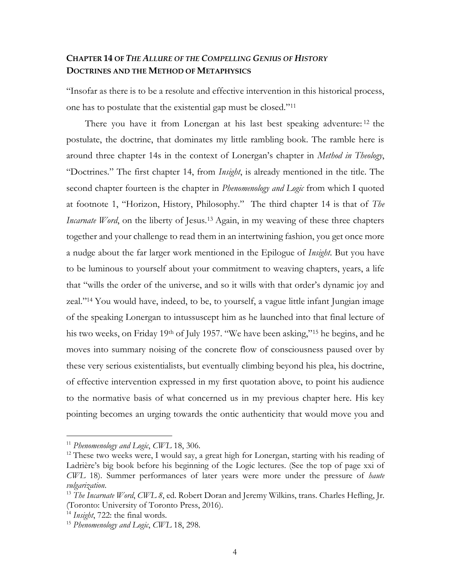## **CHAPTER 14 OF** *THE ALLURE OF THE COMPELLING GENIUS OF HISTORY* **DOCTRINES AND THE METHOD OF METAPHYSICS**

"Insofar as there is to be a resolute and effective intervention in this historical process, one has to postulate that the existential gap must be closed."<sup>11</sup>

There you have it from Lonergan at his last best speaking adventure: <sup>12</sup> the postulate, the doctrine, that dominates my little rambling book. The ramble here is around three chapter 14s in the context of Lonergan's chapter in *Method in Theology*, "Doctrines." The first chapter 14, from *Insight*, is already mentioned in the title. The second chapter fourteen is the chapter in *Phenomenology and Logic* from which I quoted at footnote 1, "Horizon, History, Philosophy." The third chapter 14 is that of *The Incarnate Word*, on the liberty of Jesus.<sup>13</sup> Again, in my weaving of these three chapters together and your challenge to read them in an intertwining fashion, you get once more a nudge about the far larger work mentioned in the Epilogue of *Insight*. But you have to be luminous to yourself about your commitment to weaving chapters, years, a life that "wills the order of the universe, and so it wills with that order's dynamic joy and zeal."<sup>14</sup> You would have, indeed, to be, to yourself, a vague little infant Jungian image of the speaking Lonergan to intussuscept him as he launched into that final lecture of his two weeks, on Friday 19th of July 1957. "We have been asking,"<sup>15</sup> he begins, and he moves into summary noising of the concrete flow of consciousness paused over by these very serious existentialists, but eventually climbing beyond his plea, his doctrine, of effective intervention expressed in my first quotation above, to point his audience to the normative basis of what concerned us in my previous chapter here. His key pointing becomes an urging towards the ontic authenticity that would move you and

<sup>11</sup> *Phenomenology and Logic*, *CWL* 18, 306.

<sup>&</sup>lt;sup>12</sup> These two weeks were, I would say, a great high for Lonergan, starting with his reading of Ladrière's big book before his beginning of the Logic lectures. (See the top of page xxi of *CWL* 18). Summer performances of later years were more under the pressure of *haute vulgarization*.

<sup>13</sup> *The Incarnate Word*, *CWL 8*, ed. Robert Doran and Jeremy Wilkins, trans. Charles Hefling, Jr. (Toronto: University of Toronto Press, 2016).

<sup>14</sup> *Insight*, 722: the final words.

<sup>15</sup> *Phenomenology and Logic*, *CWL* 18, 298.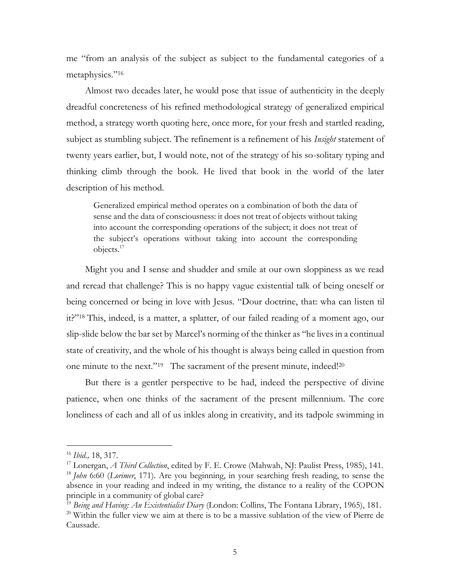me "from an analysis of the subject as subject to the fundamental categories of a metaphysics."<sup>16</sup>

Almost two decades later, he would pose that issue of authenticity in the deeply dreadful concreteness of his refined methodological strategy of generalized empirical method, a strategy worth quoting here, once more, for your fresh and startled reading, subject as stumbling subject. The refinement is a refinement of his *Insight* statement of twenty years earlier, but, I would note, not of the strategy of his so-solitary typing and thinking climb through the book. He lived that book in the world of the later description of his method.

Generalized empirical method operates on a combination of both the data of sense and the data of consciousness: it does not treat of objects without taking into account the corresponding operations of the subject; it does not treat of the subject's operations without taking into account the corresponding objects.<sup>17</sup>

Might you and I sense and shudder and smile at our own sloppiness as we read and reread that challenge? This is no happy vague existential talk of being oneself or being concerned or being in love with Jesus. "Dour doctrine, that: wha can listen til it?"<sup>18</sup> This, indeed, is a matter, a splatter, of our failed reading of a moment ago, our slip-slide below the bar set by Marcel's norming of the thinker as "he lives in a continual state of creativity, and the whole of his thought is always being called in question from one minute to the next."<sup>19</sup> The sacrament of the present minute, indeed!<sup>20</sup>

But there is a gentler perspective to be had, indeed the perspective of divine patience, when one thinks of the sacrament of the present millennium. The core loneliness of each and all of us inkles along in creativity, and its tadpole swimming in

<sup>16</sup> *Ibid.,* 18, 317.

<sup>17</sup> Lonergan, *A Third Collection*, edited by F. E. Crowe (Mahwah, NJ: Paulist Press, 1985), 141.

<sup>18</sup> *John* 6:60 (*Lorimer*, 171). Are you beginning, in your searching fresh reading, to sense the absence in your reading and indeed in my writing, the distance to a reality of the COPON principle in a community of global care?

<sup>19</sup> *Being and Having: An Existentialist Diary* (London: Collins, The Fontana Library, 1965), 181.

<sup>&</sup>lt;sup>20</sup> Within the fuller view we aim at there is to be a massive sublation of the view of Pierre de Caussade.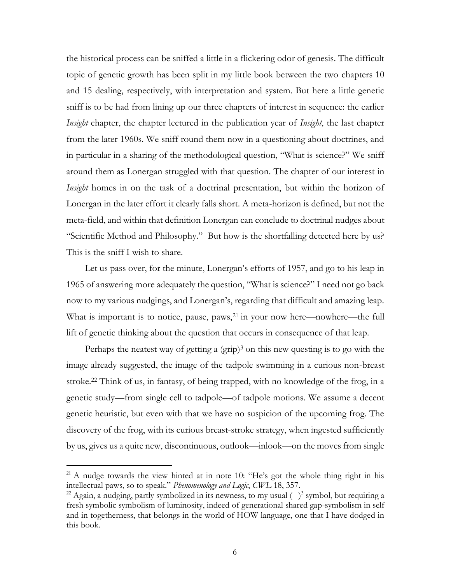the historical process can be sniffed a little in a flickering odor of genesis. The difficult topic of genetic growth has been split in my little book between the two chapters 10 and 15 dealing, respectively, with interpretation and system. But here a little genetic sniff is to be had from lining up our three chapters of interest in sequence: the earlier *Insight* chapter, the chapter lectured in the publication year of *Insight*, the last chapter from the later 1960s. We sniff round them now in a questioning about doctrines, and in particular in a sharing of the methodological question, "What is science?" We sniff around them as Lonergan struggled with that question. The chapter of our interest in *Insight* homes in on the task of a doctrinal presentation, but within the horizon of Lonergan in the later effort it clearly falls short. A meta-horizon is defined, but not the meta-field, and within that definition Lonergan can conclude to doctrinal nudges about "Scientific Method and Philosophy." But how is the shortfalling detected here by us? This is the sniff I wish to share.

Let us pass over, for the minute, Lonergan's efforts of 1957, and go to his leap in 1965 of answering more adequately the question, "What is science?" I need not go back now to my various nudgings, and Lonergan's, regarding that difficult and amazing leap. What is important is to notice, pause, paws,<sup>21</sup> in your now here—nowhere—the full lift of genetic thinking about the question that occurs in consequence of that leap.

Perhaps the neatest way of getting a  $(grip)<sup>3</sup>$  on this new questing is to go with the image already suggested, the image of the tadpole swimming in a curious non-breast stroke.<sup>22</sup> Think of us, in fantasy, of being trapped, with no knowledge of the frog, in a genetic study—from single cell to tadpole—of tadpole motions. We assume a decent genetic heuristic, but even with that we have no suspicion of the upcoming frog. The discovery of the frog, with its curious breast-stroke strategy, when ingested sufficiently by us, gives us a quite new, discontinuous, outlook—inlook—on the moves from single

 $21$  A nudge towards the view hinted at in note 10: "He's got the whole thing right in his intellectual paws, so to speak." *Phenomenology and Logic*, *CWL* 18, 357.

<sup>&</sup>lt;sup>22</sup> Again, a nudging, partly symbolized in its newness, to my usual  $( )$ <sup>3</sup> symbol, but requiring a fresh symbolic symbolism of luminosity, indeed of generational shared gap-symbolism in self and in togetherness, that belongs in the world of HOW language, one that I have dodged in this book.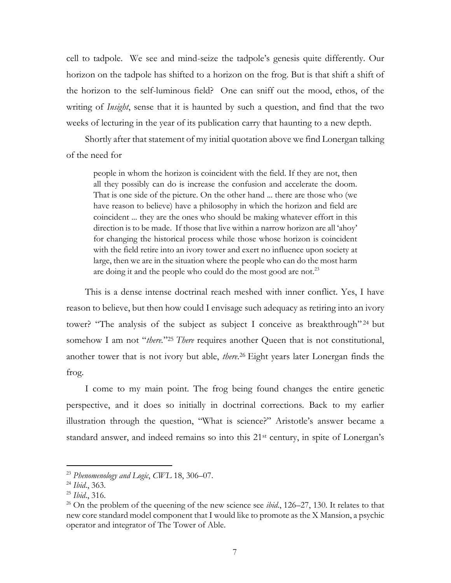cell to tadpole. We see and mind-seize the tadpole's genesis quite differently. Our horizon on the tadpole has shifted to a horizon on the frog. But is that shift a shift of the horizon to the self-luminous field? One can sniff out the mood, ethos, of the writing of *Insight*, sense that it is haunted by such a question, and find that the two weeks of lecturing in the year of its publication carry that haunting to a new depth.

Shortly after that statement of my initial quotation above we find Lonergan talking of the need for

people in whom the horizon is coincident with the field. If they are not, then all they possibly can do is increase the confusion and accelerate the doom. That is one side of the picture. On the other hand ... there are those who (we have reason to believe) have a philosophy in which the horizon and field are coincident ... they are the ones who should be making whatever effort in this direction is to be made. If those that live within a narrow horizon are all 'ahoy' for changing the historical process while those whose horizon is coincident with the field retire into an ivory tower and exert no influence upon society at large, then we are in the situation where the people who can do the most harm are doing it and the people who could do the most good are not.<sup>23</sup>

This is a dense intense doctrinal reach meshed with inner conflict. Yes, I have reason to believe, but then how could I envisage such adequacy as retiring into an ivory tower? "The analysis of the subject as subject I conceive as breakthrough"<sup>24</sup> but somehow I am not "*there.*" <sup>25</sup> *There* requires another Queen that is not constitutional, another tower that is not ivory but able, *there*. <sup>26</sup> Eight years later Lonergan finds the frog.

I come to my main point. The frog being found changes the entire genetic perspective, and it does so initially in doctrinal corrections. Back to my earlier illustration through the question, "What is science?" Aristotle's answer became a standard answer, and indeed remains so into this 21st century, in spite of Lonergan's

<sup>23</sup> *Phenomenology and Logic*, *CWL* 18, 306–07.

<sup>24</sup> *Ibid*., 363.

<sup>25</sup> *Ibid*., 316.

<sup>&</sup>lt;sup>26</sup> On the problem of the queening of the new science see *ibid*., 126–27, 130. It relates to that new core standard model component that I would like to promote as the X Mansion, a psychic operator and integrator of The Tower of Able.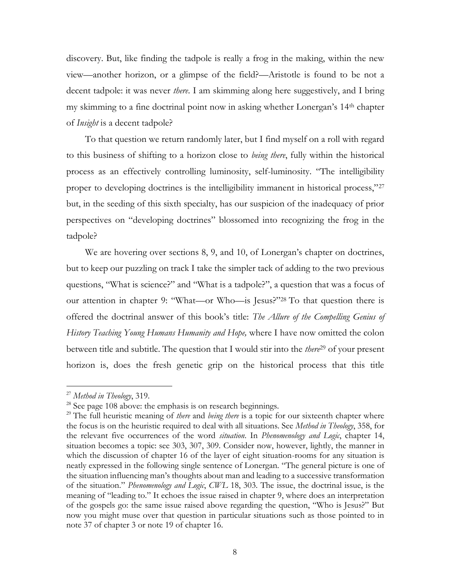discovery. But, like finding the tadpole is really a frog in the making, within the new view—another horizon, or a glimpse of the field?—Aristotle is found to be not a decent tadpole: it was never *there*. I am skimming along here suggestively, and I bring my skimming to a fine doctrinal point now in asking whether Lonergan's 14th chapter of *Insight* is a decent tadpole?

To that question we return randomly later, but I find myself on a roll with regard to this business of shifting to a horizon close to *being there*, fully within the historical process as an effectively controlling luminosity, self-luminosity. "The intelligibility proper to developing doctrines is the intelligibility immanent in historical process,"27 but, in the seeding of this sixth specialty, has our suspicion of the inadequacy of prior perspectives on "developing doctrines" blossomed into recognizing the frog in the tadpole?

We are hovering over sections 8, 9, and 10, of Lonergan's chapter on doctrines, but to keep our puzzling on track I take the simpler tack of adding to the two previous questions, "What is science?" and "What is a tadpole?", a question that was a focus of our attention in chapter 9: "What—or Who—is Jesus?"<sup>28</sup> To that question there is offered the doctrinal answer of this book's title: *The Allure of the Compelling Genius of History Teaching Young Humans Humanity and Hope,* where I have now omitted the colon between title and subtitle. The question that I would stir into the *there*<sup>29</sup> of your present horizon is, does the fresh genetic grip on the historical process that this title

<sup>27</sup> *Method in Theology*, 319.

 $^{28}$  See page 108 above: the emphasis is on research beginnings.

<sup>29</sup> The full heuristic meaning of *there* and *being there* is a topic for our sixteenth chapter where the focus is on the heuristic required to deal with all situations. See *Method in Theology*, 358, for the relevant five occurrences of the word *situation*. In *Phenomenology and Logic*, chapter 14, situation becomes a topic: see 303, 307, 309. Consider now, however, lightly, the manner in which the discussion of chapter 16 of the layer of eight situation-rooms for any situation is neatly expressed in the following single sentence of Lonergan. "The general picture is one of the situation influencing man's thoughts about man and leading to a successive transformation of the situation." *Phenomenology and Logic*, *CWL* 18, 303. The issue, the doctrinal issue, is the meaning of "leading to." It echoes the issue raised in chapter 9, where does an interpretation of the gospels go: the same issue raised above regarding the question, "Who is Jesus?" But now you might muse over that question in particular situations such as those pointed to in note 37 of chapter 3 or note 19 of chapter 16.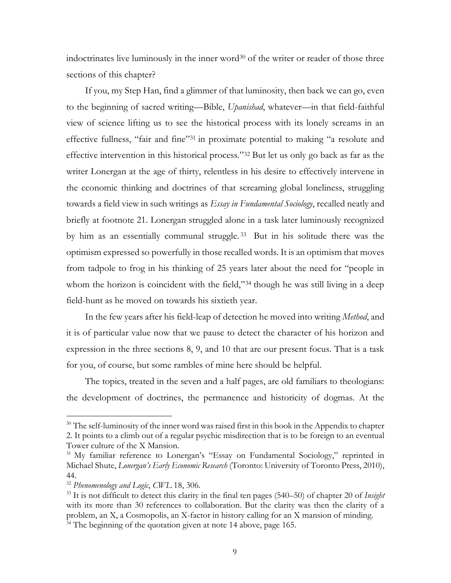indoctrinates live luminously in the inner word<sup>30</sup> of the writer or reader of those three sections of this chapter?

If you, my Step Han, find a glimmer of that luminosity, then back we can go, even to the beginning of sacred writing—Bible, *Upanishad*, whatever—in that field-faithful view of science lifting us to see the historical process with its lonely screams in an effective fullness, "fair and fine"<sup>31</sup> in proximate potential to making "a resolute and effective intervention in this historical process."<sup>32</sup> But let us only go back as far as the writer Lonergan at the age of thirty, relentless in his desire to effectively intervene in the economic thinking and doctrines of that screaming global loneliness, struggling towards a field view in such writings as *Essay in Fundamental Sociology*, recalled neatly and briefly at footnote 21. Lonergan struggled alone in a task later luminously recognized by him as an essentially communal struggle. <sup>33</sup> But in his solitude there was the optimism expressed so powerfully in those recalled words. It is an optimism that moves from tadpole to frog in his thinking of 25 years later about the need for "people in whom the horizon is coincident with the field,"<sup>34</sup> though he was still living in a deep field-hunt as he moved on towards his sixtieth year.

In the few years after his field-leap of detection he moved into writing *Method*, and it is of particular value now that we pause to detect the character of his horizon and expression in the three sections 8, 9, and 10 that are our present focus. That is a task for you, of course, but some rambles of mine here should be helpful.

The topics, treated in the seven and a half pages, are old familiars to theologians: the development of doctrines, the permanence and historicity of dogmas. At the

<sup>&</sup>lt;sup>30</sup> The self-luminosity of the inner word was raised first in this book in the Appendix to chapter 2. It points to a climb out of a regular psychic misdirection that is to be foreign to an eventual Tower culture of the X Mansion.

<sup>&</sup>lt;sup>31</sup> My familiar reference to Lonergan's "Essay on Fundamental Sociology," reprinted in Michael Shute, *Lonergan's Early Economic Research* (Toronto: University of Toronto Press, 2010), 44.

<sup>32</sup> *Phenomenology and Logic*, *CWL* 18, 306.

<sup>33</sup> It is not difficult to detect this clarity in the final ten pages (540–50) of chapter 20 of *Insight* with its more than 30 references to collaboration. But the clarity was then the clarity of a problem, an X, a Cosmopolis, an X-factor in history calling for an X mansion of minding. <sup>34</sup> The beginning of the quotation given at note 14 above, page 165.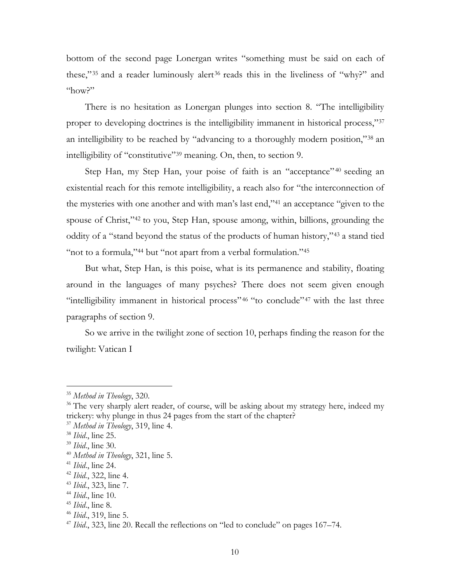bottom of the second page Lonergan writes "something must be said on each of these,"<sup>35</sup> and a reader luminously alert<sup>36</sup> reads this in the liveliness of "why?" and  $n<sub>0</sub>$ <sup>"</sup>

There is no hesitation as Lonergan plunges into section 8. "The intelligibility proper to developing doctrines is the intelligibility immanent in historical process,"<sup>37</sup> an intelligibility to be reached by "advancing to a thoroughly modern position,"<sup>38</sup> an intelligibility of "constitutive"<sup>39</sup> meaning. On, then, to section 9.

Step Han, my Step Han, your poise of faith is an "acceptance" <sup>40</sup> seeding an existential reach for this remote intelligibility, a reach also for "the interconnection of the mysteries with one another and with man's last end,"<sup>41</sup> an acceptance "given to the spouse of Christ,"<sup>42</sup> to you, Step Han, spouse among, within, billions, grounding the oddity of a "stand beyond the status of the products of human history,"<sup>43</sup> a stand tied "not to a formula,"<sup>44</sup> but "not apart from a verbal formulation."<sup>45</sup>

But what, Step Han, is this poise, what is its permanence and stability, floating around in the languages of many psyches? There does not seem given enough "intelligibility immanent in historical process"<sup>46</sup> "to conclude"<sup>47</sup> with the last three paragraphs of section 9.

So we arrive in the twilight zone of section 10, perhaps finding the reason for the twilight: Vatican I

<sup>35</sup> *Method in Theology*, 320.

<sup>&</sup>lt;sup>36</sup> The very sharply alert reader, of course, will be asking about my strategy here, indeed my trickery: why plunge in thus 24 pages from the start of the chapter?

<sup>37</sup> *Method in Theology*, 319, line 4.

<sup>38</sup> *Ibid*., line 25.

<sup>39</sup> *Ibid*., line 30.

<sup>40</sup> *Method in Theology*, 321, line 5.

<sup>41</sup> *Ibid*., line 24.

<sup>42</sup> *Ibid.*, 322, line 4.

<sup>43</sup> *Ibid.*, 323, line 7.

<sup>44</sup> *Ibid*., line 10.

<sup>45</sup> *Ibid*., line 8.

<sup>46</sup> *Ibid*., 319, line 5.

<sup>&</sup>lt;sup>47</sup> *Ibid.*, 323, line 20. Recall the reflections on "led to conclude" on pages 167–74.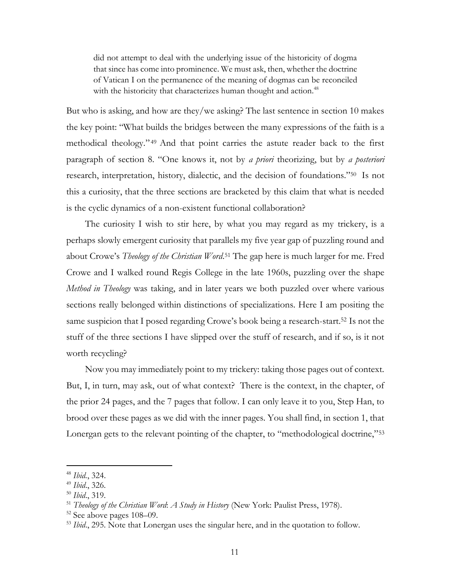did not attempt to deal with the underlying issue of the historicity of dogma that since has come into prominence. We must ask, then, whether the doctrine of Vatican I on the permanence of the meaning of dogmas can be reconciled with the historicity that characterizes human thought and action.<sup>48</sup>

But who is asking, and how are they/we asking? The last sentence in section 10 makes the key point: "What builds the bridges between the many expressions of the faith is a methodical theology." <sup>49</sup> And that point carries the astute reader back to the first paragraph of section 8. "One knows it, not by *a priori* theorizing, but by *a posteriori* research, interpretation, history, dialectic, and the decision of foundations."<sup>50</sup> Is not this a curiosity, that the three sections are bracketed by this claim that what is needed is the cyclic dynamics of a non-existent functional collaboration?

The curiosity I wish to stir here, by what you may regard as my trickery, is a perhaps slowly emergent curiosity that parallels my five year gap of puzzling round and about Crowe's *Theology of the Christian Word*. <sup>51</sup> The gap here is much larger for me. Fred Crowe and I walked round Regis College in the late 1960s, puzzling over the shape *Method in Theology* was taking, and in later years we both puzzled over where various sections really belonged within distinctions of specializations. Here I am positing the same suspicion that I posed regarding Crowe's book being a research-start.<sup>52</sup> Is not the stuff of the three sections I have slipped over the stuff of research, and if so, is it not worth recycling?

Now you may immediately point to my trickery: taking those pages out of context. But, I, in turn, may ask, out of what context? There is the context, in the chapter, of the prior 24 pages, and the 7 pages that follow. I can only leave it to you, Step Han, to brood over these pages as we did with the inner pages. You shall find, in section 1, that Lonergan gets to the relevant pointing of the chapter, to "methodological doctrine,"<sup>53</sup>

<sup>48</sup> *Ibid.*, 324.

<sup>49</sup> *Ibid*., 326.

<sup>50</sup> *Ibid*., 319.

<sup>51</sup> *Theology of the Christian Word*: *A Study in History* (New York: Paulist Press, 1978).

<sup>52</sup> See above pages 108–09.

<sup>53</sup> *Ibid*., 295. Note that Lonergan uses the singular here, and in the quotation to follow.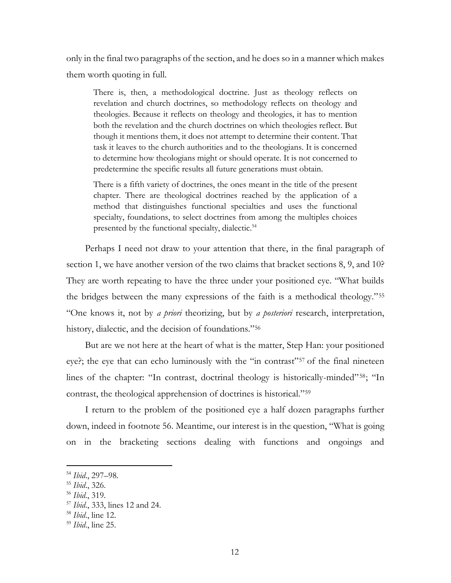only in the final two paragraphs of the section, and he does so in a manner which makes them worth quoting in full.

There is, then, a methodological doctrine. Just as theology reflects on revelation and church doctrines, so methodology reflects on theology and theologies. Because it reflects on theology and theologies, it has to mention both the revelation and the church doctrines on which theologies reflect. But though it mentions them, it does not attempt to determine their content. That task it leaves to the church authorities and to the theologians. It is concerned to determine how theologians might or should operate. It is not concerned to predetermine the specific results all future generations must obtain.

There is a fifth variety of doctrines, the ones meant in the title of the present chapter. There are theological doctrines reached by the application of a method that distinguishes functional specialties and uses the functional specialty, foundations, to select doctrines from among the multiples choices presented by the functional specialty, dialectic.<sup>54</sup>

Perhaps I need not draw to your attention that there, in the final paragraph of section 1, we have another version of the two claims that bracket sections 8, 9, and 10? They are worth repeating to have the three under your positioned eye. "What builds the bridges between the many expressions of the faith is a methodical theology."<sup>55</sup> "One knows it, not by *a priori* theorizing, but by *a posteriori* research, interpretation, history, dialectic, and the decision of foundations."<sup>56</sup>

But are we not here at the heart of what is the matter, Step Han: your positioned eye?; the eye that can echo luminously with the "in contrast"<sup>57</sup> of the final nineteen lines of the chapter: "In contrast, doctrinal theology is historically-minded"58; "In contrast, the theological apprehension of doctrines is historical."<sup>59</sup>

I return to the problem of the positioned eye a half dozen paragraphs further down, indeed in footnote 56. Meantime, our interest is in the question, "What is going on in the bracketing sections dealing with functions and ongoings and

<sup>54</sup> *Ibid*., 297–98.

<sup>55</sup> *Ibid*., 326.

<sup>56</sup> *Ibid*., 319.

<sup>57</sup> *Ibid*., 333, lines 12 and 24.

<sup>58</sup> *Ibid*., line 12.

<sup>59</sup> *Ibid*., line 25.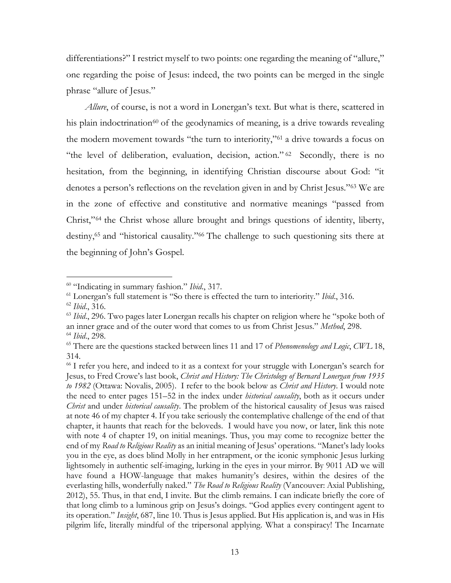differentiations?" I restrict myself to two points: one regarding the meaning of "allure," one regarding the poise of Jesus: indeed, the two points can be merged in the single phrase "allure of Jesus."

*Allure*, of course, is not a word in Lonergan's text. But what is there, scattered in his plain indoctrination<sup>60</sup> of the geodynamics of meaning, is a drive towards revealing the modern movement towards "the turn to interiority,"<sup>61</sup> a drive towards a focus on "the level of deliberation, evaluation, decision, action." <sup>62</sup> Secondly, there is no hesitation, from the beginning, in identifying Christian discourse about God: "it denotes a person's reflections on the revelation given in and by Christ Jesus."<sup>63</sup> We are in the zone of effective and constitutive and normative meanings "passed from Christ,"<sup>64</sup> the Christ whose allure brought and brings questions of identity, liberty, destiny,<sup>65</sup> and "historical causality."<sup>66</sup> The challenge to such questioning sits there at the beginning of John's Gospel.

<sup>60</sup> "Indicating in summary fashion." *Ibid*., 317.

<sup>61</sup> Lonergan's full statement is "So there is effected the turn to interiority." *Ibid*., 316.

<sup>62</sup> *Ibid*., 316.

<sup>63</sup> *Ibid*., 296. Two pages later Lonergan recalls his chapter on religion where he "spoke both of an inner grace and of the outer word that comes to us from Christ Jesus." *Method*, 298. <sup>64</sup> *Ibid*., 298.

<sup>65</sup> There are the questions stacked between lines 11 and 17 of *Phenomenology and Logic*, *CWL* 18, 314.

<sup>&</sup>lt;sup>66</sup> I refer you here, and indeed to it as a context for your struggle with Lonergan's search for Jesus, to Fred Crowe's last book, *Christ and History: The Christology of Bernard Lonergan from 1935 to 1982* (Ottawa: Novalis, 2005). I refer to the book below as *Christ and History*. I would note the need to enter pages 151–52 in the index under *historical causality*, both as it occurs under *Christ* and under *historical causality*. The problem of the historical causality of Jesus was raised at note 46 of my chapter 4. If you take seriously the contemplative challenge of the end of that chapter, it haunts that reach for the beloveds. I would have you now, or later, link this note with note 4 of chapter 19, on initial meanings. Thus, you may come to recognize better the end of my *Road to Religious Reality* as an initial meaning of Jesus' operations. "Manet's lady looks you in the eye, as does blind Molly in her entrapment, or the iconic symphonic Jesus lurking lightsomely in authentic self-imaging, lurking in the eyes in your mirror. By 9011 AD we will have found a HOW-language that makes humanity's desires, within the desires of the everlasting hills, wonderfully naked." *The Road to Religious Reality* (Vancouver: Axial Publishing, 2012), 55. Thus, in that end, I invite. But the climb remains. I can indicate briefly the core of that long climb to a luminous grip on Jesus's doings. "God applies every contingent agent to its operation." *Insight*, 687, line 10. Thus is Jesus applied. But His application is, and was in His pilgrim life, literally mindful of the tripersonal applying. What a conspiracy! The Incarnate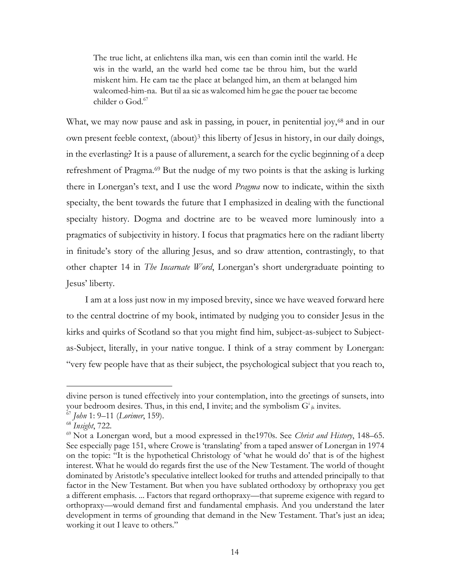The true licht, at enlichtens ilka man, wis een than comin intil the warld. He wis in the warld, an the warld hed come tae be throu him, but the warld miskent him. He cam tae the place at belanged him, an them at belanged him walcomed-him-na. But til aa sic as walcomed him he gae the pouer tae become childer o God.<sup>67</sup>

What, we may now pause and ask in passing, in pouer, in penitential joy,<sup>68</sup> and in our own present feeble context, (about)<sup>3</sup> this liberty of Jesus in history, in our daily doings, in the everlasting? It is a pause of allurement, a search for the cyclic beginning of a deep refreshment of Pragma.<sup>69</sup> But the nudge of my two points is that the asking is lurking there in Lonergan's text, and I use the word *Pragma* now to indicate, within the sixth specialty, the bent towards the future that I emphasized in dealing with the functional specialty history. Dogma and doctrine are to be weaved more luminously into a pragmatics of subjectivity in history. I focus that pragmatics here on the radiant liberty in finitude's story of the alluring Jesus, and so draw attention, contrastingly, to that other chapter 14 in *The Incarnate Word*, Lonergan's short undergraduate pointing to Jesus' liberty.

I am at a loss just now in my imposed brevity, since we have weaved forward here to the central doctrine of my book, intimated by nudging you to consider Jesus in the kirks and quirks of Scotland so that you might find him, subject-as-subject to Subjectas-Subject, literally, in your native tongue. I think of a stray comment by Lonergan: "very few people have that as their subject, the psychological subject that you reach to,

divine person is tuned effectively into your contemplation, into the greetings of sunsets, into your bedroom desires. Thus, in this end, I invite; and the symbolism  $G^i_{jk}$  invites.

<sup>67</sup> *John* 1: 9–11 (*Lorimer*, 159).

<sup>68</sup> *Insight*, 722.

<sup>69</sup> Not a Lonergan word, but a mood expressed in the1970s. See *Christ and History*, 148–65. See especially page 151, where Crowe is 'translating' from a taped answer of Lonergan in 1974 on the topic: "It is the hypothetical Christology of 'what he would do' that is of the highest interest. What he would do regards first the use of the New Testament. The world of thought dominated by Aristotle's speculative intellect looked for truths and attended principally to that factor in the New Testament. But when you have sublated orthodoxy by orthopraxy you get a different emphasis. ... Factors that regard orthopraxy—that supreme exigence with regard to orthopraxy—would demand first and fundamental emphasis. And you understand the later development in terms of grounding that demand in the New Testament. That's just an idea; working it out I leave to others."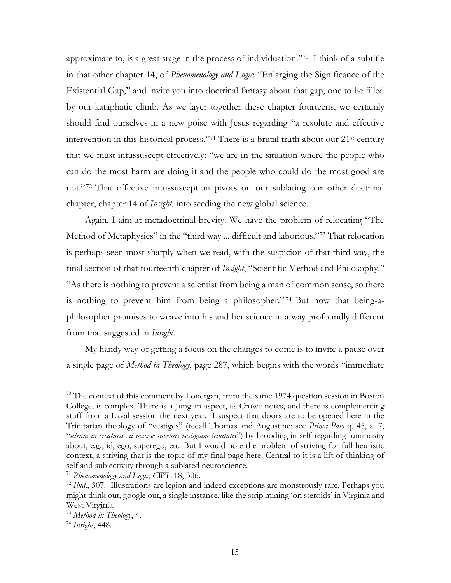approximate to, is a great stage in the process of individuation."<sup>70</sup> I think of a subtitle in that other chapter 14, of *Phenomenology and Logic*: "Enlarging the Significance of the Existential Gap," and invite you into doctrinal fantasy about that gap, one to be filled by our kataphatic climb. As we layer together these chapter fourteens, we certainly should find ourselves in a new poise with Jesus regarding "a resolute and effective intervention in this historical process."<sup>71</sup> There is a brutal truth about our 21st century that we must intussuscept effectively: "we are in the situation where the people who can do the most harm are doing it and the people who could do the most good are not." <sup>72</sup> That effective intussusception pivots on our sublating our other doctrinal chapter, chapter 14 of *Insight*, into seeding the new global science.

Again, I aim at metadoctrinal brevity. We have the problem of relocating "The Method of Metaphysics" in the "third way ... difficult and laborious."<sup>73</sup> That relocation is perhaps seen most sharply when we read, with the suspicion of that third way, the final section of that fourteenth chapter of *Insight*, "Scientific Method and Philosophy." "As there is nothing to prevent a scientist from being a man of common sense, so there is nothing to prevent him from being a philosopher." <sup>74</sup> But now that being-aphilosopher promises to weave into his and her science in a way profoundly different from that suggested in *Insight*.

My handy way of getting a focus on the changes to come is to invite a pause over a single page of *Method in Theology*, page 287, which begins with the words "immediate

<sup>&</sup>lt;sup>70</sup> The context of this comment by Lonergan, from the same 1974 question session in Boston College, is complex. There is a Jungian aspect, as Crowe notes, and there is complementing stuff from a Laval session the next year. I suspect that doors are to be opened here in the Trinitarian theology of "vestiges" (recall Thomas and Augustine: see *Prima Pars* q. 45, a. 7, "*utrum in creaturis sit necesse inveniri vestigium trinitatis*") by brooding in self-regarding luminosity about, e.g., id, ego, superego, etc. But I would note the problem of striving for full heuristic context, a striving that is the topic of my final page here. Central to it is a lift of thinking of self and subjectivity through a sublated neuroscience.

<sup>71</sup> *Phenomenology and Logic*, *CWL* 18, 306.

<sup>&</sup>lt;sup>72</sup> *Ibid.*, 307. Illustrations are legion and indeed exceptions are monstrously rare. Perhaps you might think out, google out, a single instance, like the strip mining 'on steroids' in Virginia and West Virginia.

<sup>73</sup> *Method in Theology*, 4.

<sup>74</sup> *Insight*, 448.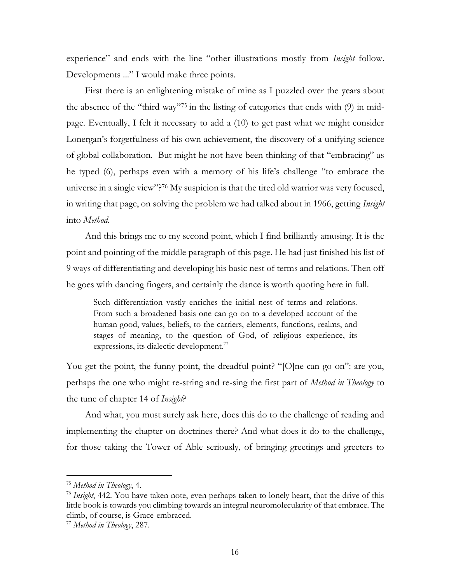experience" and ends with the line "other illustrations mostly from *Insight* follow. Developments ..." I would make three points.

First there is an enlightening mistake of mine as I puzzled over the years about the absence of the "third way"<sup>75</sup> in the listing of categories that ends with (9) in midpage. Eventually, I felt it necessary to add a (10) to get past what we might consider Lonergan's forgetfulness of his own achievement, the discovery of a unifying science of global collaboration. But might he not have been thinking of that "embracing" as he typed (6), perhaps even with a memory of his life's challenge "to embrace the universe in a single view"?<sup>76</sup> My suspicion is that the tired old warrior was very focused, in writing that page, on solving the problem we had talked about in 1966, getting *Insight* into *Method*.

And this brings me to my second point, which I find brilliantly amusing. It is the point and pointing of the middle paragraph of this page. He had just finished his list of 9 ways of differentiating and developing his basic nest of terms and relations. Then off he goes with dancing fingers, and certainly the dance is worth quoting here in full.

Such differentiation vastly enriches the initial nest of terms and relations. From such a broadened basis one can go on to a developed account of the human good, values, beliefs, to the carriers, elements, functions, realms, and stages of meaning, to the question of God, of religious experience, its expressions, its dialectic development.<sup>77</sup>

You get the point, the funny point, the dreadful point? "[O]ne can go on": are you, perhaps the one who might re-string and re-sing the first part of *Method in Theology* to the tune of chapter 14 of *Insight*?

And what, you must surely ask here, does this do to the challenge of reading and implementing the chapter on doctrines there? And what does it do to the challenge, for those taking the Tower of Able seriously, of bringing greetings and greeters to

<sup>75</sup> *Method in Theology*, 4.

<sup>76</sup> *Insight*, 442. You have taken note, even perhaps taken to lonely heart, that the drive of this little book is towards you climbing towards an integral neuromolecularity of that embrace. The climb, of course, is Grace-embraced.

<sup>77</sup> *Method in Theology*, 287.